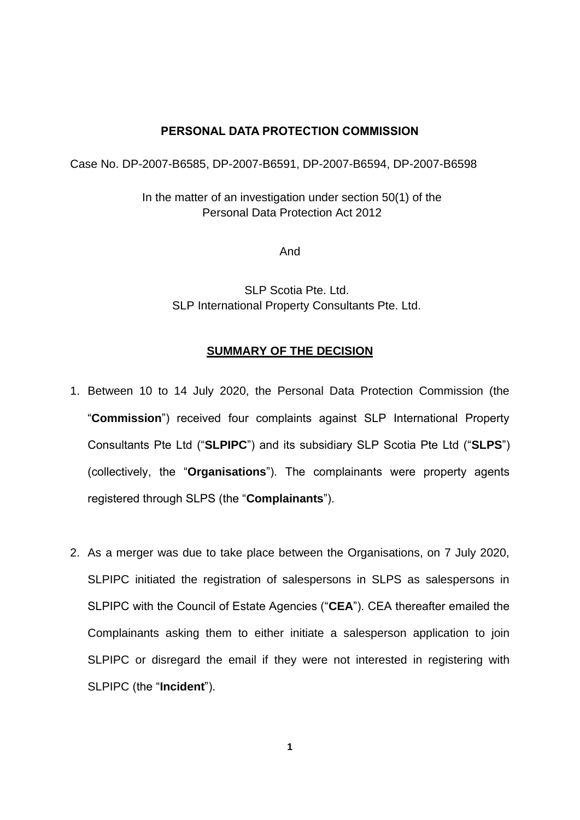## **PERSONAL DATA PROTECTION COMMISSION**

Case No. DP-2007-B6585, DP-2007-B6591, DP-2007-B6594, DP-2007-B6598

In the matter of an investigation under section 50(1) of the Personal Data Protection Act 2012

And

SLP Scotia Pte. Ltd. SLP International Property Consultants Pte. Ltd.

## **SUMMARY OF THE DECISION**

- 1. Between 10 to 14 July 2020, the Personal Data Protection Commission (the "**Commission**") received four complaints against SLP International Property Consultants Pte Ltd ("**SLPIPC**") and its subsidiary SLP Scotia Pte Ltd ("**SLPS**") (collectively, the "**Organisations**"). The complainants were property agents registered through SLPS (the "**Complainants**").
- 2. As a merger was due to take place between the Organisations, on 7 July 2020, SLPIPC initiated the registration of salespersons in SLPS as salespersons in SLPIPC with the Council of Estate Agencies ("**CEA**"). CEA thereafter emailed the Complainants asking them to either initiate a salesperson application to join SLPIPC or disregard the email if they were not interested in registering with SLPIPC (the "**Incident**").

**1**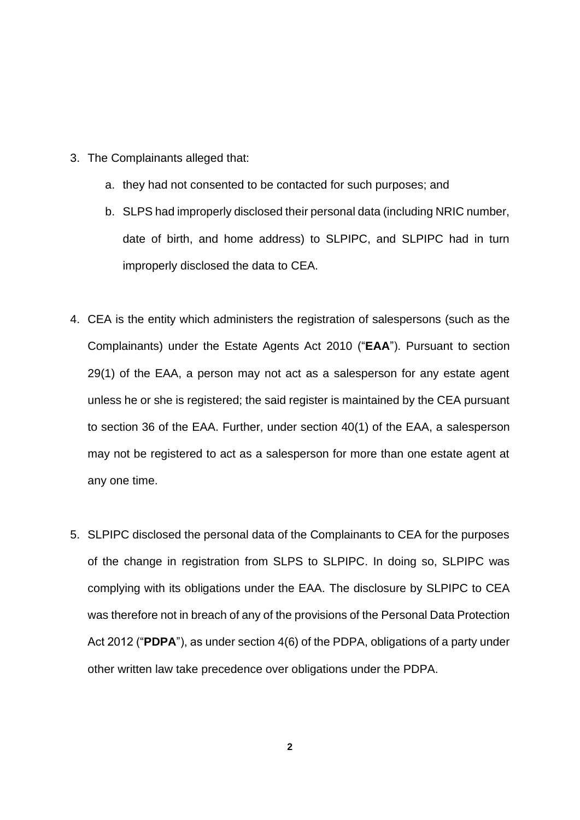- 3. The Complainants alleged that:
	- a. they had not consented to be contacted for such purposes; and
	- b. SLPS had improperly disclosed their personal data (including NRIC number, date of birth, and home address) to SLPIPC, and SLPIPC had in turn improperly disclosed the data to CEA.
- 4. CEA is the entity which administers the registration of salespersons (such as the Complainants) under the Estate Agents Act 2010 ("**EAA**"). Pursuant to section 29(1) of the EAA, a person may not act as a salesperson for any estate agent unless he or she is registered; the said register is maintained by the CEA pursuant to section 36 of the EAA. Further, under section 40(1) of the EAA, a salesperson may not be registered to act as a salesperson for more than one estate agent at any one time.
- 5. SLPIPC disclosed the personal data of the Complainants to CEA for the purposes of the change in registration from SLPS to SLPIPC. In doing so, SLPIPC was complying with its obligations under the EAA. The disclosure by SLPIPC to CEA was therefore not in breach of any of the provisions of the Personal Data Protection Act 2012 ("**PDPA**"), as under section 4(6) of the PDPA, obligations of a party under other written law take precedence over obligations under the PDPA.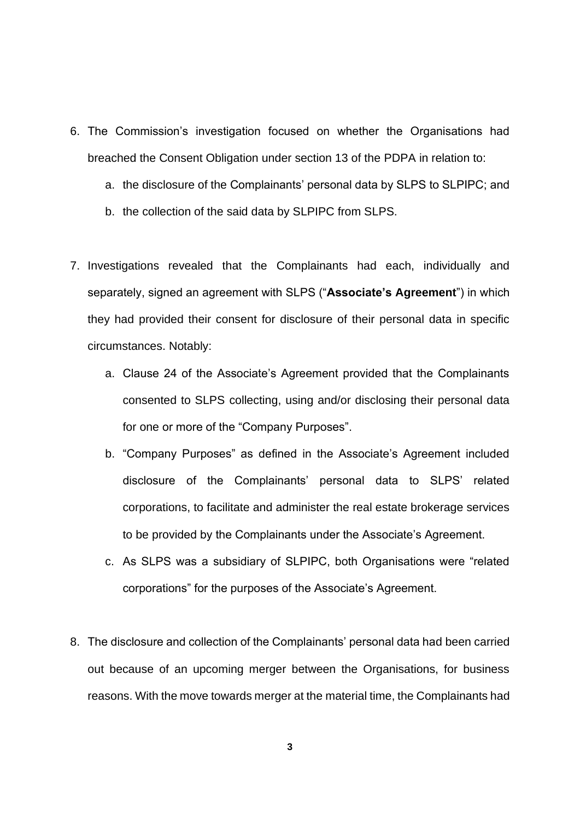- 6. The Commission's investigation focused on whether the Organisations had breached the Consent Obligation under section 13 of the PDPA in relation to:
	- a. the disclosure of the Complainants' personal data by SLPS to SLPIPC; and
	- b. the collection of the said data by SLPIPC from SLPS.
- 7. Investigations revealed that the Complainants had each, individually and separately, signed an agreement with SLPS ("**Associate's Agreement**") in which they had provided their consent for disclosure of their personal data in specific circumstances. Notably:
	- a. Clause 24 of the Associate's Agreement provided that the Complainants consented to SLPS collecting, using and/or disclosing their personal data for one or more of the "Company Purposes".
	- b. "Company Purposes" as defined in the Associate's Agreement included disclosure of the Complainants' personal data to SLPS' related corporations, to facilitate and administer the real estate brokerage services to be provided by the Complainants under the Associate's Agreement.
	- c. As SLPS was a subsidiary of SLPIPC, both Organisations were "related corporations" for the purposes of the Associate's Agreement.
- 8. The disclosure and collection of the Complainants' personal data had been carried out because of an upcoming merger between the Organisations, for business reasons. With the move towards merger at the material time, the Complainants had